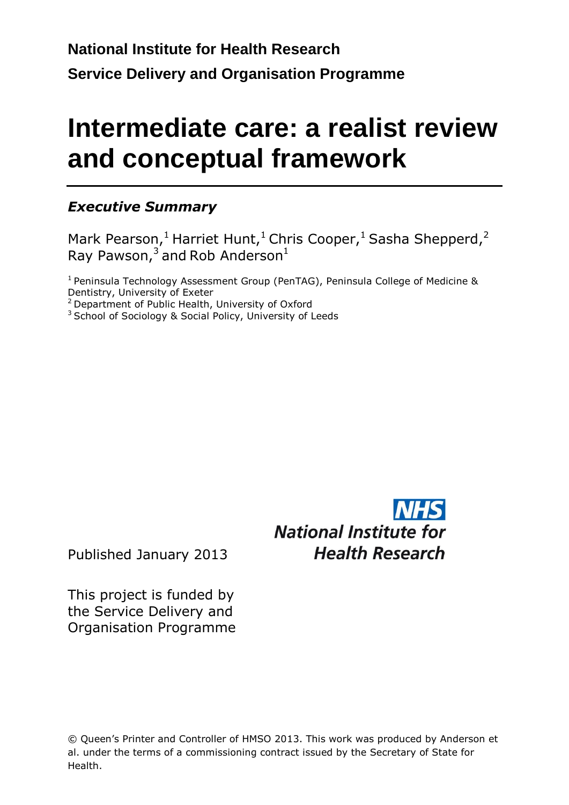# **Intermediate care: a realist review and conceptual framework**

### *Executive Summary*

Mark Pearson,<sup>1</sup> Harriet Hunt,<sup>1</sup> Chris Cooper,<sup>1</sup> Sasha Shepperd,<sup>2</sup> Ray Pawson, $^3$  and Rob Anderson $^1$ 

 $1$  Peninsula Technology Assessment Group (PenTAG), Peninsula College of Medicine & Dentistry, University of Exeter

 $2$  Department of Public Health, University of Oxford

<sup>3</sup> School of Sociology & Social Policy, University of Leeds

**National Institute for Health Research** 

Published January 2013

This project is funded by the Service Delivery and Organisation Programme

© Queen's Printer and Controller of HMSO 2013. This work was produced by Anderson et al. under the terms of a commissioning contract issued by the Secretary of State for Health.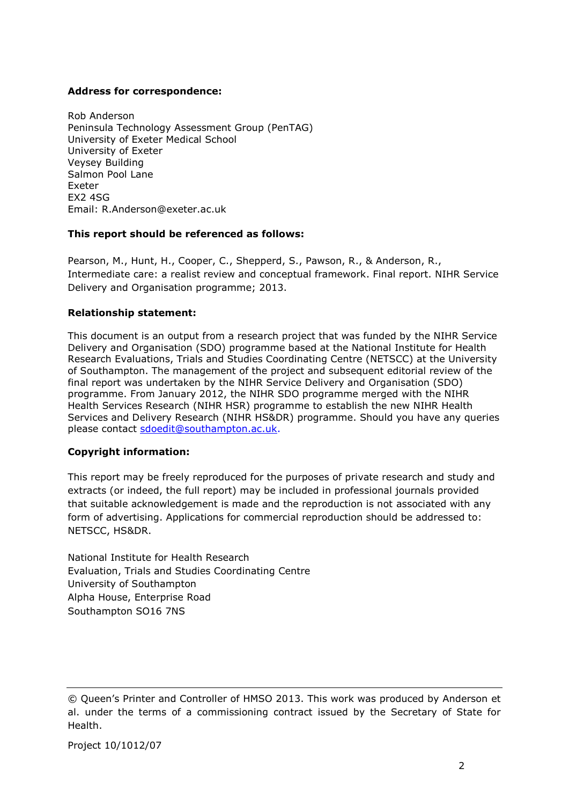#### **Address for correspondence:**

Rob Anderson Peninsula Technology Assessment Group (PenTAG) University of Exeter Medical School University of Exeter Veysey Building Salmon Pool Lane Exeter EX2 4SG Email: R.Anderson@exeter.ac.uk

#### **This report should be referenced as follows:**

Pearson, M., Hunt, H., Cooper, C., Shepperd, S., Pawson, R., & Anderson, R., Intermediate care: a realist review and conceptual framework. Final report. NIHR Service Delivery and Organisation programme; 2013.

#### **Relationship statement:**

This document is an output from a research project that was funded by the NIHR Service Delivery and Organisation (SDO) programme based at the National Institute for Health Research Evaluations, Trials and Studies Coordinating Centre (NETSCC) at the University of Southampton. The management of the project and subsequent editorial review of the final report was undertaken by the NIHR Service Delivery and Organisation (SDO) programme. From January 2012, the NIHR SDO programme merged with the NIHR Health Services Research (NIHR HSR) programme to establish the new NIHR Health Services and Delivery Research (NIHR HS&DR) programme. Should you have any queries please contact [sdoedit@southampton.ac.uk.](mailto:sdoedit@southampton.ac.uk)

### **Copyright information:**

This report may be freely reproduced for the purposes of private research and study and extracts (or indeed, the full report) may be included in professional journals provided that suitable acknowledgement is made and the reproduction is not associated with any form of advertising. Applications for commercial reproduction should be addressed to: NETSCC, HS&DR.

National Institute for Health Research Evaluation, Trials and Studies Coordinating Centre University of Southampton Alpha House, Enterprise Road Southampton SO16 7NS

<sup>©</sup> Queen's Printer and Controller of HMSO 2013. This work was produced by Anderson et al. under the terms of a commissioning contract issued by the Secretary of State for Health.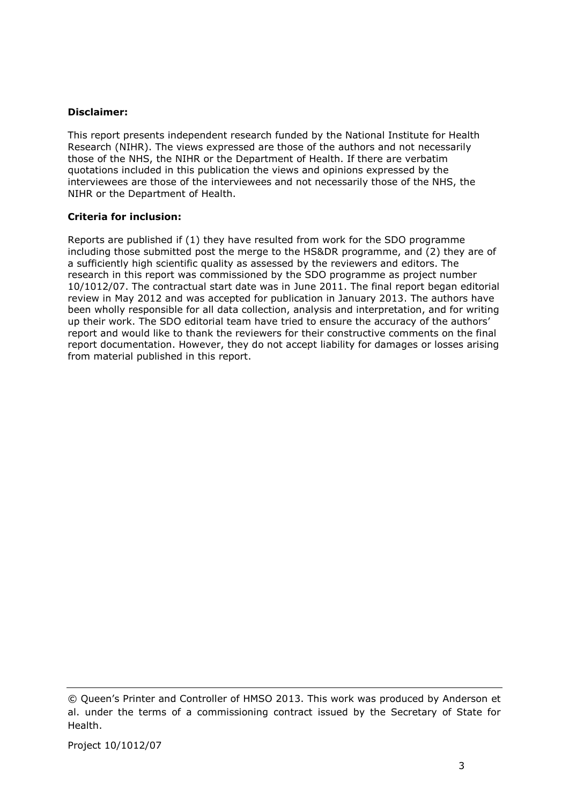#### **Disclaimer:**

This report presents independent research funded by the National Institute for Health Research (NIHR). The views expressed are those of the authors and not necessarily those of the NHS, the NIHR or the Department of Health. If there are verbatim quotations included in this publication the views and opinions expressed by the interviewees are those of the interviewees and not necessarily those of the NHS, the NIHR or the Department of Health.

#### **Criteria for inclusion:**

Reports are published if (1) they have resulted from work for the SDO programme including those submitted post the merge to the HS&DR programme, and (2) they are of a sufficiently high scientific quality as assessed by the reviewers and editors. The research in this report was commissioned by the SDO programme as project number 10/1012/07. The contractual start date was in June 2011. The final report began editorial review in May 2012 and was accepted for publication in January 2013. The authors have been wholly responsible for all data collection, analysis and interpretation, and for writing up their work. The SDO editorial team have tried to ensure the accuracy of the authors' report and would like to thank the reviewers for their constructive comments on the final report documentation. However, they do not accept liability for damages or losses arising from material published in this report.

<sup>©</sup> Queen's Printer and Controller of HMSO 2013. This work was produced by Anderson et al. under the terms of a commissioning contract issued by the Secretary of State for Health.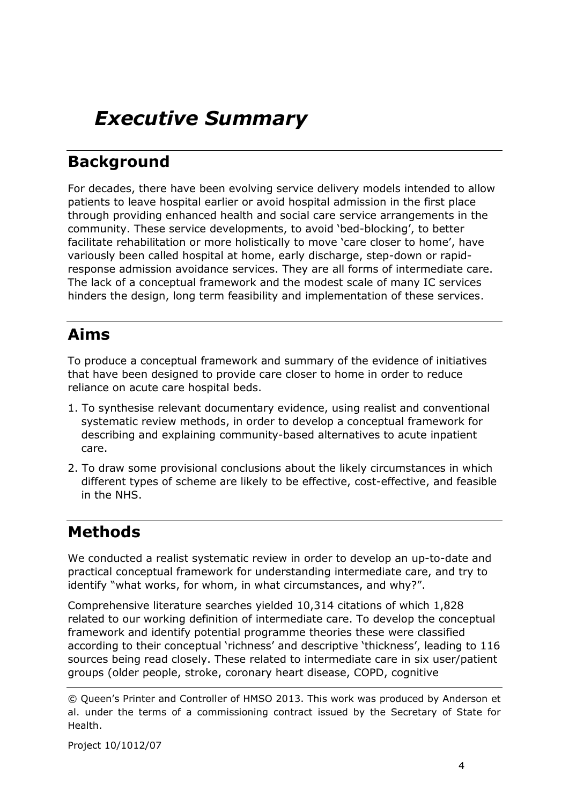## *Executive Summary*

### **Background**

For decades, there have been evolving service delivery models intended to allow patients to leave hospital earlier or avoid hospital admission in the first place through providing enhanced health and social care service arrangements in the community. These service developments, to avoid 'bed-blocking', to better facilitate rehabilitation or more holistically to move 'care closer to home', have variously been called hospital at home, early discharge, step-down or rapidresponse admission avoidance services. They are all forms of intermediate care. The lack of a conceptual framework and the modest scale of many IC services hinders the design, long term feasibility and implementation of these services.

### **Aims**

To produce a conceptual framework and summary of the evidence of initiatives that have been designed to provide care closer to home in order to reduce reliance on acute care hospital beds.

- 1. To synthesise relevant documentary evidence, using realist and conventional systematic review methods, in order to develop a conceptual framework for describing and explaining community-based alternatives to acute inpatient care.
- 2. To draw some provisional conclusions about the likely circumstances in which different types of scheme are likely to be effective, cost-effective, and feasible in the NHS.

### **Methods**

We conducted a realist systematic review in order to develop an up-to-date and practical conceptual framework for understanding intermediate care, and try to identify "what works, for whom, in what circumstances, and why?".

Comprehensive literature searches yielded 10,314 citations of which 1,828 related to our working definition of intermediate care. To develop the conceptual framework and identify potential programme theories these were classified according to their conceptual 'richness' and descriptive 'thickness', leading to 116 sources being read closely. These related to intermediate care in six user/patient groups (older people, stroke, coronary heart disease, COPD, cognitive

<sup>©</sup> Queen's Printer and Controller of HMSO 2013. This work was produced by Anderson et al. under the terms of a commissioning contract issued by the Secretary of State for Health.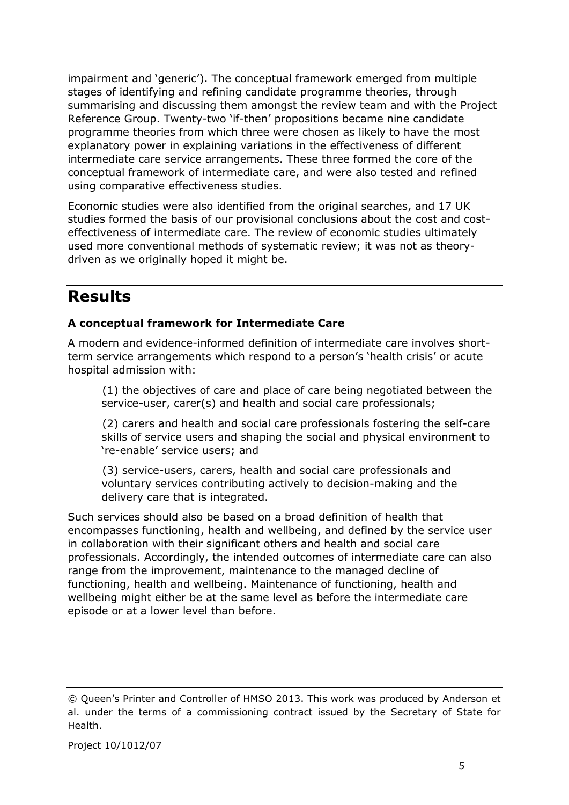impairment and 'generic'). The conceptual framework emerged from multiple stages of identifying and refining candidate programme theories, through summarising and discussing them amongst the review team and with the Project Reference Group. Twenty-two 'if-then' propositions became nine candidate programme theories from which three were chosen as likely to have the most explanatory power in explaining variations in the effectiveness of different intermediate care service arrangements. These three formed the core of the conceptual framework of intermediate care, and were also tested and refined using comparative effectiveness studies.

Economic studies were also identified from the original searches, and 17 UK studies formed the basis of our provisional conclusions about the cost and costeffectiveness of intermediate care. The review of economic studies ultimately used more conventional methods of systematic review; it was not as theorydriven as we originally hoped it might be.

### **Results**

### **A conceptual framework for Intermediate Care**

A modern and evidence-informed definition of intermediate care involves shortterm service arrangements which respond to a person's 'health crisis' or acute hospital admission with:

(1) the objectives of care and place of care being negotiated between the service-user, carer(s) and health and social care professionals;

(2) carers and health and social care professionals fostering the self-care skills of service users and shaping the social and physical environment to 're-enable' service users; and

(3) service-users, carers, health and social care professionals and voluntary services contributing actively to decision-making and the delivery care that is integrated.

Such services should also be based on a broad definition of health that encompasses functioning, health and wellbeing, and defined by the service user in collaboration with their significant others and health and social care professionals. Accordingly, the intended outcomes of intermediate care can also range from the improvement, maintenance to the managed decline of functioning, health and wellbeing. Maintenance of functioning, health and wellbeing might either be at the same level as before the intermediate care episode or at a lower level than before.

<sup>©</sup> Queen's Printer and Controller of HMSO 2013. This work was produced by Anderson et al. under the terms of a commissioning contract issued by the Secretary of State for Health.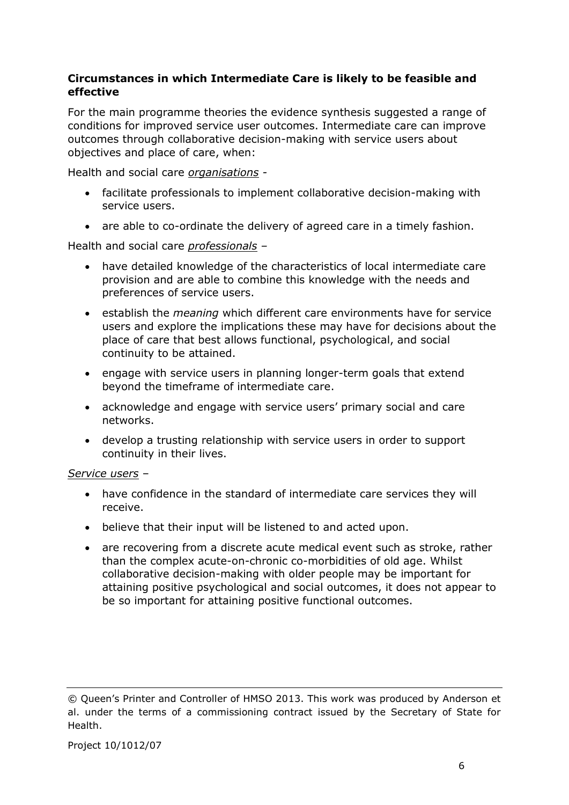### **Circumstances in which Intermediate Care is likely to be feasible and effective**

For the main programme theories the evidence synthesis suggested a range of conditions for improved service user outcomes. Intermediate care can improve outcomes through collaborative decision-making with service users about objectives and place of care, when:

Health and social care *organisations -*

- facilitate professionals to implement collaborative decision-making with service users.
- are able to co-ordinate the delivery of agreed care in a timely fashion.

Health and social care *professionals –*

- have detailed knowledge of the characteristics of local intermediate care provision and are able to combine this knowledge with the needs and preferences of service users.
- establish the *meaning* which different care environments have for service users and explore the implications these may have for decisions about the place of care that best allows functional, psychological, and social continuity to be attained.
- engage with service users in planning longer-term goals that extend beyond the timeframe of intermediate care.
- acknowledge and engage with service users' primary social and care networks.
- develop a trusting relationship with service users in order to support continuity in their lives.

#### *Service users* –

- have confidence in the standard of intermediate care services they will receive.
- believe that their input will be listened to and acted upon.
- are recovering from a discrete acute medical event such as stroke, rather than the complex acute-on-chronic co-morbidities of old age. Whilst collaborative decision-making with older people may be important for attaining positive psychological and social outcomes, it does not appear to be so important for attaining positive functional outcomes.

<sup>©</sup> Queen's Printer and Controller of HMSO 2013. This work was produced by Anderson et al. under the terms of a commissioning contract issued by the Secretary of State for Health.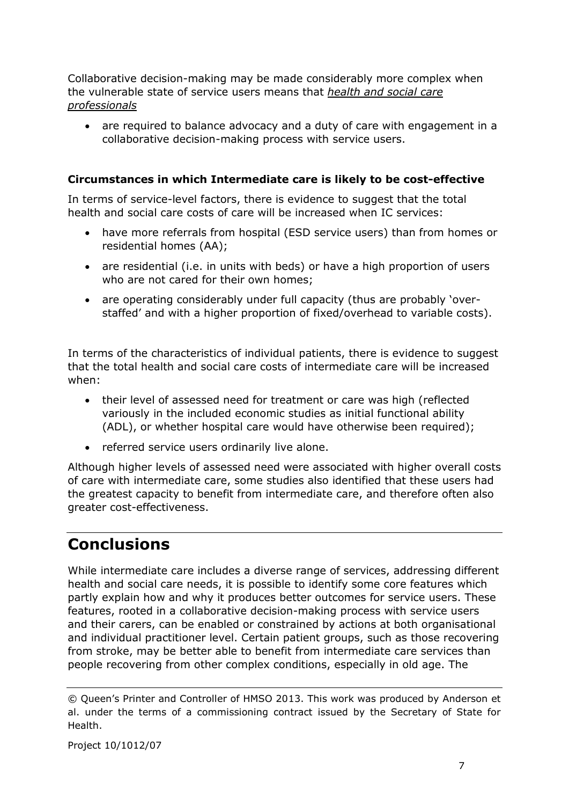Collaborative decision-making may be made considerably more complex when the vulnerable state of service users means that *health and social care professionals*

 are required to balance advocacy and a duty of care with engagement in a collaborative decision-making process with service users.

### **Circumstances in which Intermediate care is likely to be cost-effective**

In terms of service-level factors, there is evidence to suggest that the total health and social care costs of care will be increased when IC services:

- have more referrals from hospital (ESD service users) than from homes or residential homes (AA);
- are residential (i.e. in units with beds) or have a high proportion of users who are not cared for their own homes;
- are operating considerably under full capacity (thus are probably 'overstaffed' and with a higher proportion of fixed/overhead to variable costs).

In terms of the characteristics of individual patients, there is evidence to suggest that the total health and social care costs of intermediate care will be increased when:

- their level of assessed need for treatment or care was high (reflected variously in the included economic studies as initial functional ability (ADL), or whether hospital care would have otherwise been required);
- referred service users ordinarily live alone.

Although higher levels of assessed need were associated with higher overall costs of care with intermediate care, some studies also identified that these users had the greatest capacity to benefit from intermediate care, and therefore often also greater cost-effectiveness.

### **Conclusions**

While intermediate care includes a diverse range of services, addressing different health and social care needs, it is possible to identify some core features which partly explain how and why it produces better outcomes for service users. These features, rooted in a collaborative decision-making process with service users and their carers, can be enabled or constrained by actions at both organisational and individual practitioner level. Certain patient groups, such as those recovering from stroke, may be better able to benefit from intermediate care services than people recovering from other complex conditions, especially in old age. The

<sup>©</sup> Queen's Printer and Controller of HMSO 2013. This work was produced by Anderson et al. under the terms of a commissioning contract issued by the Secretary of State for Health.